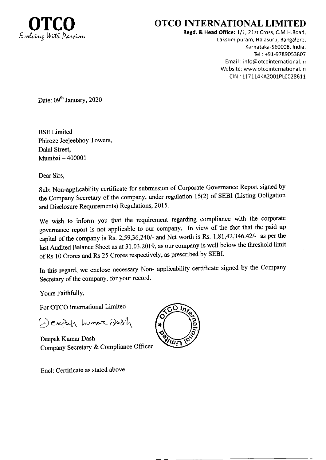

## **OTCO INTERNATIONAL LIMITED**

Regd. & Head Office: 1/1, 21st Cross, C.M.H.Road, Lakshmipuram, Halasuru, Bangalore, Karnataka-560008, India. Tel: +91-9789053807 Email: info@otcointernational.in Website: www.otcointernational.in CIN: L17114KA2001PLC028611

Date: 09<sup>th</sup> January, 2020

**BSE** Limited Phiroze Jeejeebhoy Towers, Dalal Street, Mumbai - 400001

Dear Sirs,

Sub: Non-applicability certificate for submission of Corporate Governance Report signed by the Company Secretary of the company, under regulation 15(2) of SEBI (Listing Obligation and Disclosure Requirements) Regulations, 2015.

We wish to inform you that the requirement regarding compliance with the corporate governance report is not applicable to our company. In view of the fact that the paid up capital of the company is Rs. 2,59,36,240/- and Net worth is Rs. 1,81,42,346.42/- as per the last Audited Balance Sheet as at 31.03.2019, as our company is well below the threshold limit of Rs 10 Crores and Rs 25 Crores respectively, as prescribed by SEBI.

In this regard, we enclose necessary Non- applicability certificate signed by the Company Secretary of the company, for your record.

Yours Faithfully,

For OTCO International Limited

Deepah humore dash

Deepak Kumar Dash Company Secretary & Compliance Officer

Encl: Certificate as stated above